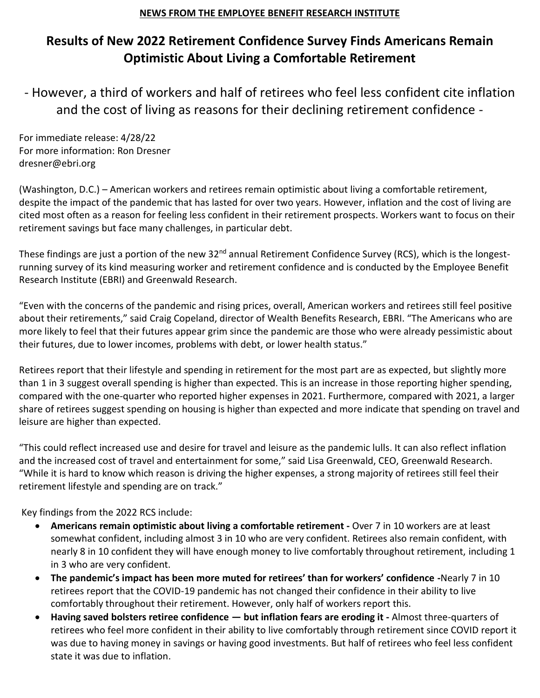## **NEWS FROM THE EMPLOYEE BENEFIT RESEARCH INSTITUTE**

## **Results of New 2022 Retirement Confidence Survey Finds Americans Remain Optimistic About Living a Comfortable Retirement**

- However, a third of workers and half of retirees who feel less confident cite inflation and the cost of living as reasons for their declining retirement confidence -

For immediate release: 4/28/22 For more information: Ron Dresner dresner@ebri.org

(Washington, D.C.) – American workers and retirees remain optimistic about living a comfortable retirement, despite the impact of the pandemic that has lasted for over two years. However, inflation and the cost of living are cited most often as a reason for feeling less confident in their retirement prospects. Workers want to focus on their retirement savings but face many challenges, in particular debt.

These findings are just a portion of the new 32<sup>nd</sup> annual Retirement Confidence Survey (RCS), which is the longestrunning survey of its kind measuring worker and retirement confidence and is conducted by the Employee Benefit Research Institute (EBRI) and Greenwald Research.

"Even with the concerns of the pandemic and rising prices, overall, American workers and retirees still feel positive about their retirements," said Craig Copeland, director of Wealth Benefits Research, EBRI. "The Americans who are more likely to feel that their futures appear grim since the pandemic are those who were already pessimistic about their futures, due to lower incomes, problems with debt, or lower health status."

Retirees report that their lifestyle and spending in retirement for the most part are as expected, but slightly more than 1 in 3 suggest overall spending is higher than expected. This is an increase in those reporting higher spending, compared with the one-quarter who reported higher expenses in 2021. Furthermore, compared with 2021, a larger share of retirees suggest spending on housing is higher than expected and more indicate that spending on travel and leisure are higher than expected.

"This could reflect increased use and desire for travel and leisure as the pandemic lulls. It can also reflect inflation and the increased cost of travel and entertainment for some," said Lisa Greenwald, CEO, Greenwald Research. "While it is hard to know which reason is driving the higher expenses, a strong majority of retirees still feel their retirement lifestyle and spending are on track."

Key findings from the 2022 RCS include:

- **Americans remain optimistic about living a comfortable retirement -** Over 7 in 10 workers are at least somewhat confident, including almost 3 in 10 who are very confident. Retirees also remain confident, with nearly 8 in 10 confident they will have enough money to live comfortably throughout retirement, including 1 in 3 who are very confident.
- **The pandemic's impact has been more muted for retirees' than for workers' confidence -**Nearly 7 in 10 retirees report that the COVID-19 pandemic has not changed their confidence in their ability to live comfortably throughout their retirement. However, only half of workers report this.
- **Having saved bolsters retiree confidence — but inflation fears are eroding it -** Almost three-quarters of retirees who feel more confident in their ability to live comfortably through retirement since COVID report it was due to having money in savings or having good investments. But half of retirees who feel less confident state it was due to inflation.